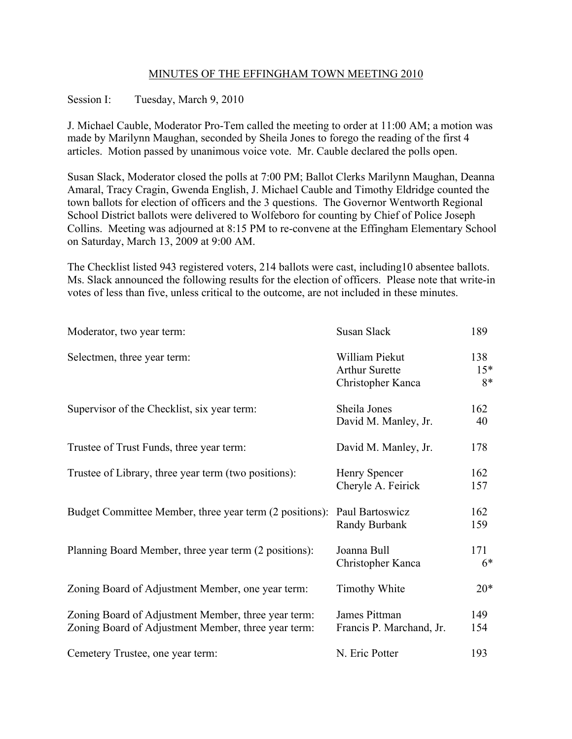## MINUTES OF THE EFFINGHAM TOWN MEETING 2010

## Session I: Tuesday, March 9, 2010

J. Michael Cauble, Moderator Pro-Tem called the meeting to order at 11:00 AM; a motion was made by Marilynn Maughan, seconded by Sheila Jones to forego the reading of the first 4 articles. Motion passed by unanimous voice vote. Mr. Cauble declared the polls open.

Susan Slack, Moderator closed the polls at 7:00 PM; Ballot Clerks Marilynn Maughan, Deanna Amaral, Tracy Cragin, Gwenda English, J. Michael Cauble and Timothy Eldridge counted the town ballots for election of officers and the 3 questions. The Governor Wentworth Regional School District ballots were delivered to Wolfeboro for counting by Chief of Police Joseph Collins. Meeting was adjourned at 8:15 PM to re-convene at the Effingham Elementary School on Saturday, March 13, 2009 at 9:00 AM.

The Checklist listed 943 registered voters, 214 ballots were cast, including10 absentee ballots. Ms. Slack announced the following results for the election of officers. Please note that write-in votes of less than five, unless critical to the outcome, are not included in these minutes.

| Moderator, two year term:                                                                                  | Susan Slack                                                  | 189                |
|------------------------------------------------------------------------------------------------------------|--------------------------------------------------------------|--------------------|
| Selectmen, three year term:                                                                                | William Piekut<br><b>Arthur Surette</b><br>Christopher Kanca | 138<br>$15*$<br>8* |
| Supervisor of the Checklist, six year term:                                                                | Sheila Jones<br>David M. Manley, Jr.                         | 162<br>40          |
| Trustee of Trust Funds, three year term:                                                                   | David M. Manley, Jr.                                         | 178                |
| Trustee of Library, three year term (two positions):                                                       | Henry Spencer<br>Cheryle A. Feirick                          | 162<br>157         |
| Budget Committee Member, three year term (2 positions): Paul Bartoswicz                                    | Randy Burbank                                                | 162<br>159         |
| Planning Board Member, three year term (2 positions):                                                      | Joanna Bull<br>Christopher Kanca                             | 171<br>$6*$        |
| Zoning Board of Adjustment Member, one year term:                                                          | <b>Timothy White</b>                                         | $20*$              |
| Zoning Board of Adjustment Member, three year term:<br>Zoning Board of Adjustment Member, three year term: | James Pittman<br>Francis P. Marchand, Jr.                    | 149<br>154         |
| Cemetery Trustee, one year term:                                                                           | N. Eric Potter                                               | 193                |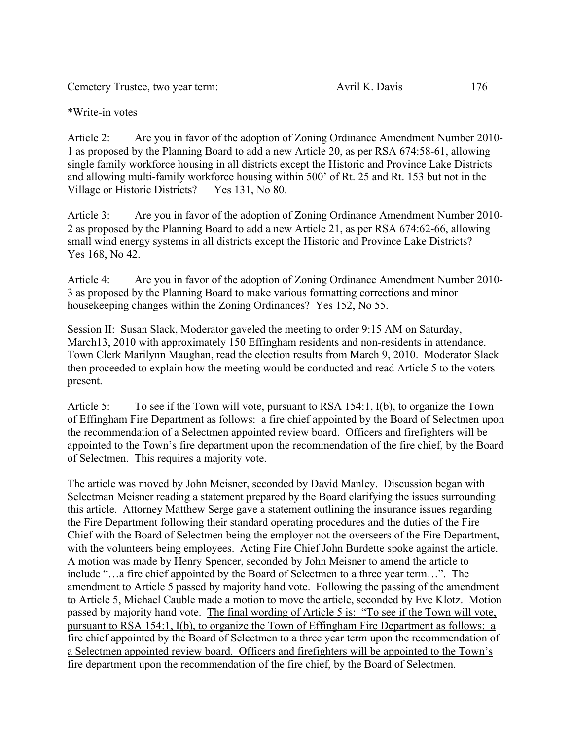Cemetery Trustee, two year term: Avril K. Davis 176

\*Write-in votes

Article 2: Are you in favor of the adoption of Zoning Ordinance Amendment Number 2010- 1 as proposed by the Planning Board to add a new Article 20, as per RSA 674:58-61, allowing single family workforce housing in all districts except the Historic and Province Lake Districts and allowing multi-family workforce housing within 500' of Rt. 25 and Rt. 153 but not in the Village or Historic Districts? Yes 131, No 80. Village or Historic Districts?

Article 3: Are you in favor of the adoption of Zoning Ordinance Amendment Number 2010- 2 as proposed by the Planning Board to add a new Article 21, as per RSA 674:62-66, allowing small wind energy systems in all districts except the Historic and Province Lake Districts? Yes 168, No 42.

Article 4: Are you in favor of the adoption of Zoning Ordinance Amendment Number 2010- 3 as proposed by the Planning Board to make various formatting corrections and minor housekeeping changes within the Zoning Ordinances? Yes 152, No 55.

Session II: Susan Slack, Moderator gaveled the meeting to order 9:15 AM on Saturday, March13, 2010 with approximately 150 Effingham residents and non-residents in attendance. Town Clerk Marilynn Maughan, read the election results from March 9, 2010. Moderator Slack then proceeded to explain how the meeting would be conducted and read Article 5 to the voters present.

Article 5: To see if the Town will vote, pursuant to RSA 154:1, I(b), to organize the Town of Effingham Fire Department as follows: a fire chief appointed by the Board of Selectmen upon the recommendation of a Selectmen appointed review board. Officers and firefighters will be appointed to the Town's fire department upon the recommendation of the fire chief, by the Board of Selectmen. This requires a majority vote.

The article was moved by John Meisner, seconded by David Manley. Discussion began with Selectman Meisner reading a statement prepared by the Board clarifying the issues surrounding this article. Attorney Matthew Serge gave a statement outlining the insurance issues regarding the Fire Department following their standard operating procedures and the duties of the Fire Chief with the Board of Selectmen being the employer not the overseers of the Fire Department, with the volunteers being employees. Acting Fire Chief John Burdette spoke against the article. A motion was made by Henry Spencer, seconded by John Meisner to amend the article to include "…a fire chief appointed by the Board of Selectmen to a three year term…". The amendment to Article 5 passed by majority hand vote. Following the passing of the amendment to Article 5, Michael Cauble made a motion to move the article, seconded by Eve Klotz. Motion passed by majority hand vote. The final wording of Article 5 is: "To see if the Town will vote, pursuant to RSA 154:1, I(b), to organize the Town of Effingham Fire Department as follows: a fire chief appointed by the Board of Selectmen to a three year term upon the recommendation of a Selectmen appointed review board. Officers and firefighters will be appointed to the Town's fire department upon the recommendation of the fire chief, by the Board of Selectmen.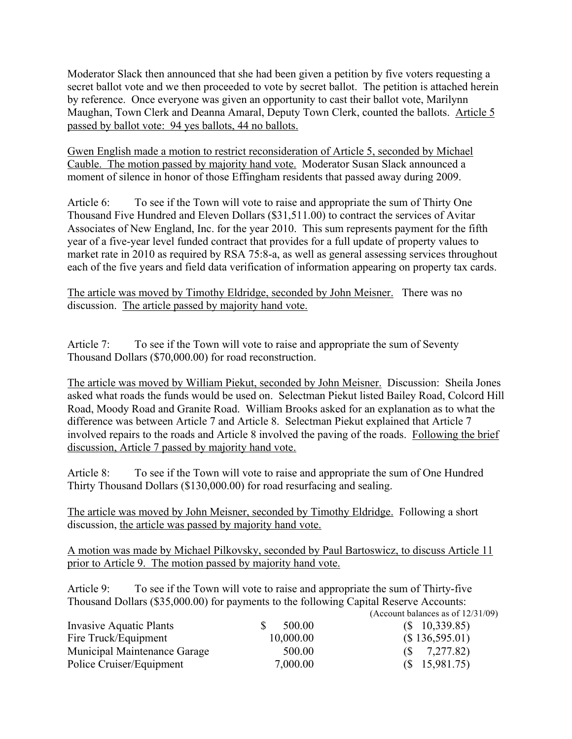Moderator Slack then announced that she had been given a petition by five voters requesting a secret ballot vote and we then proceeded to vote by secret ballot. The petition is attached herein by reference. Once everyone was given an opportunity to cast their ballot vote, Marilynn Maughan, Town Clerk and Deanna Amaral, Deputy Town Clerk, counted the ballots. Article 5 passed by ballot vote: 94 yes ballots, 44 no ballots.

Gwen English made a motion to restrict reconsideration of Article 5, seconded by Michael Cauble. The motion passed by majority hand vote. Moderator Susan Slack announced a moment of silence in honor of those Effingham residents that passed away during 2009.

Article 6: To see if the Town will vote to raise and appropriate the sum of Thirty One Thousand Five Hundred and Eleven Dollars (\$31,511.00) to contract the services of Avitar Associates of New England, Inc. for the year 2010. This sum represents payment for the fifth year of a five-year level funded contract that provides for a full update of property values to market rate in 2010 as required by RSA 75:8-a, as well as general assessing services throughout each of the five years and field data verification of information appearing on property tax cards.

The article was moved by Timothy Eldridge, seconded by John Meisner. There was no discussion. The article passed by majority hand vote.

Article 7: To see if the Town will vote to raise and appropriate the sum of Seventy Thousand Dollars (\$70,000.00) for road reconstruction.

The article was moved by William Piekut, seconded by John Meisner. Discussion: Sheila Jones asked what roads the funds would be used on. Selectman Piekut listed Bailey Road, Colcord Hill Road, Moody Road and Granite Road. William Brooks asked for an explanation as to what the difference was between Article 7 and Article 8. Selectman Piekut explained that Article 7 involved repairs to the roads and Article 8 involved the paving of the roads. Following the brief discussion, Article 7 passed by majority hand vote.

Article 8: To see if the Town will vote to raise and appropriate the sum of One Hundred Thirty Thousand Dollars (\$130,000.00) for road resurfacing and sealing.

The article was moved by John Meisner, seconded by Timothy Eldridge. Following a short discussion, the article was passed by majority hand vote.

A motion was made by Michael Pilkovsky, seconded by Paul Bartoswicz, to discuss Article 11 prior to Article 9. The motion passed by majority hand vote.

Article 9: To see if the Town will vote to raise and appropriate the sum of Thirty-five Thousand Dollars (\$35,000.00) for payments to the following Capital Reserve Accounts:  $(6.6)$ 

|                              |           | (Account balances as of $12/31/09$ |
|------------------------------|-----------|------------------------------------|
| Invasive Aquatic Plants      | 500.00    | $(S \t10,339.85)$                  |
| Fire Truck/Equipment         | 10,000.00 | (\$136,595.01)                     |
| Municipal Maintenance Garage | 500.00    | $(S \t 7,277.82)$                  |
| Police Cruiser/Equipment     | 7,000.00  | $(S \t15,981.75)$                  |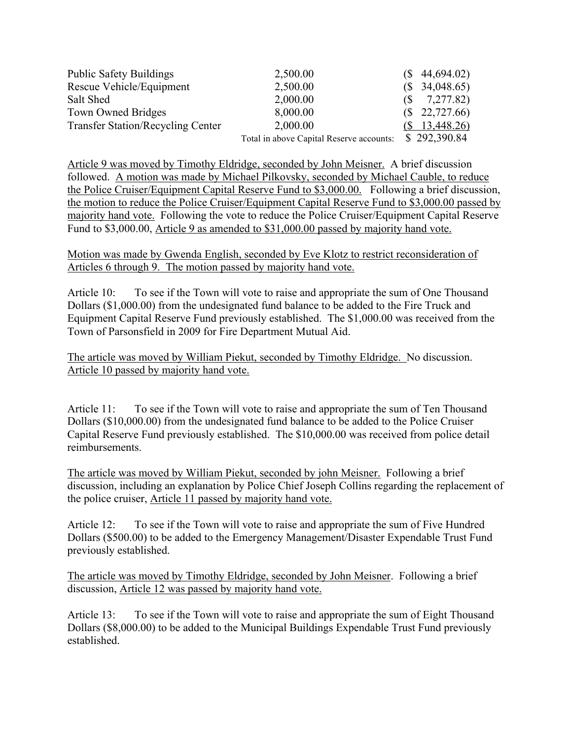| <b>Public Safety Buildings</b>           | 2,500.00                                 | $(S$ 44,694.02)            |
|------------------------------------------|------------------------------------------|----------------------------|
| Rescue Vehicle/Equipment                 | 2,500.00                                 | $(S$ 34,048.65)            |
| Salt Shed                                | 2,000.00                                 | 7,277.82)<br>$(S_{\rm s})$ |
| Town Owned Bridges                       | 8,000.00                                 | $(S$ 22,727.66)            |
| <b>Transfer Station/Recycling Center</b> | 2,000.00                                 | 13,448.26)                 |
|                                          | Total in above Capital Reserve accounts: | \$292,390.84               |

Article 9 was moved by Timothy Eldridge, seconded by John Meisner. A brief discussion followed. A motion was made by Michael Pilkovsky, seconded by Michael Cauble, to reduce the Police Cruiser/Equipment Capital Reserve Fund to \$3,000.00. Following a brief discussion, the motion to reduce the Police Cruiser/Equipment Capital Reserve Fund to \$3,000.00 passed by majority hand vote. Following the vote to reduce the Police Cruiser/Equipment Capital Reserve Fund to \$3,000.00, Article 9 as amended to \$31,000.00 passed by majority hand vote.

Motion was made by Gwenda English, seconded by Eve Klotz to restrict reconsideration of Articles 6 through 9. The motion passed by majority hand vote.

Article 10: To see if the Town will vote to raise and appropriate the sum of One Thousand Dollars (\$1,000.00) from the undesignated fund balance to be added to the Fire Truck and Equipment Capital Reserve Fund previously established. The \$1,000.00 was received from the Town of Parsonsfield in 2009 for Fire Department Mutual Aid.

The article was moved by William Piekut, seconded by Timothy Eldridge. No discussion. Article 10 passed by majority hand vote.

Article 11: To see if the Town will vote to raise and appropriate the sum of Ten Thousand Dollars (\$10,000.00) from the undesignated fund balance to be added to the Police Cruiser Capital Reserve Fund previously established. The \$10,000.00 was received from police detail reimbursements.

The article was moved by William Piekut, seconded by john Meisner. Following a brief discussion, including an explanation by Police Chief Joseph Collins regarding the replacement of the police cruiser, Article 11 passed by majority hand vote.

Article 12: To see if the Town will vote to raise and appropriate the sum of Five Hundred Dollars (\$500.00) to be added to the Emergency Management/Disaster Expendable Trust Fund previously established.

The article was moved by Timothy Eldridge, seconded by John Meisner. Following a brief discussion, Article 12 was passed by majority hand vote.

Article 13: To see if the Town will vote to raise and appropriate the sum of Eight Thousand Dollars (\$8,000.00) to be added to the Municipal Buildings Expendable Trust Fund previously established.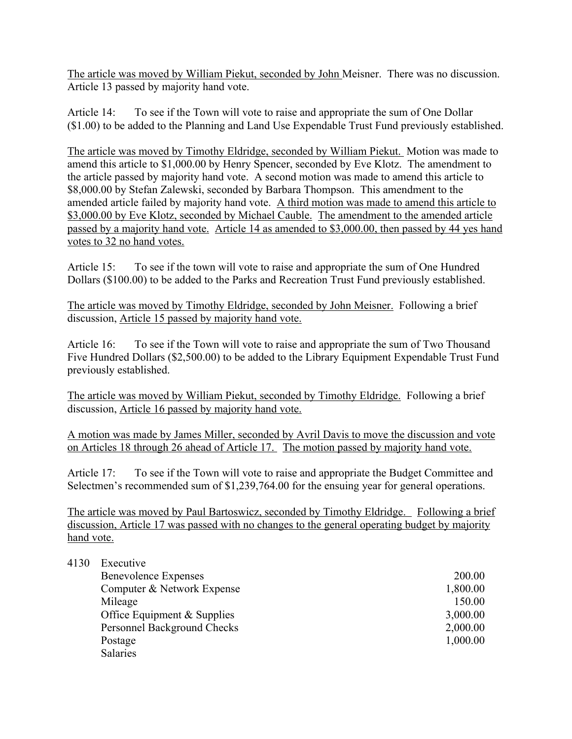The article was moved by William Piekut, seconded by John Meisner. There was no discussion. Article 13 passed by majority hand vote.

Article 14: To see if the Town will vote to raise and appropriate the sum of One Dollar (\$1.00) to be added to the Planning and Land Use Expendable Trust Fund previously established.

The article was moved by Timothy Eldridge, seconded by William Piekut. Motion was made to amend this article to \$1,000.00 by Henry Spencer, seconded by Eve Klotz. The amendment to the article passed by majority hand vote. A second motion was made to amend this article to \$8,000.00 by Stefan Zalewski, seconded by Barbara Thompson. This amendment to the amended article failed by majority hand vote. A third motion was made to amend this article to \$3,000.00 by Eve Klotz, seconded by Michael Cauble. The amendment to the amended article passed by a majority hand vote. Article 14 as amended to \$3,000.00, then passed by 44 yes hand votes to 32 no hand votes.

Article 15: To see if the town will vote to raise and appropriate the sum of One Hundred Dollars (\$100.00) to be added to the Parks and Recreation Trust Fund previously established.

The article was moved by Timothy Eldridge, seconded by John Meisner. Following a brief discussion, Article 15 passed by majority hand vote.

Article 16: To see if the Town will vote to raise and appropriate the sum of Two Thousand Five Hundred Dollars (\$2,500.00) to be added to the Library Equipment Expendable Trust Fund previously established.

The article was moved by William Piekut, seconded by Timothy Eldridge. Following a brief discussion, Article 16 passed by majority hand vote.

A motion was made by James Miller, seconded by Avril Davis to move the discussion and vote on Articles 18 through 26 ahead of Article 17. The motion passed by majority hand vote.

Article 17: To see if the Town will vote to raise and appropriate the Budget Committee and Selectmen's recommended sum of \$1,239,764.00 for the ensuing year for general operations.

The article was moved by Paul Bartoswicz, seconded by Timothy Eldridge. Following a brief discussion, Article 17 was passed with no changes to the general operating budget by majority hand vote.

| 4130<br>Executive |
|-------------------|
|                   |

| <b>Benevolence Expenses</b> | 200.00   |
|-----------------------------|----------|
| Computer & Network Expense  | 1,800.00 |
| Mileage                     | 150.00   |
| Office Equipment & Supplies | 3,000.00 |
| Personnel Background Checks | 2,000.00 |
| Postage                     | 1,000.00 |
| <b>Salaries</b>             |          |
|                             |          |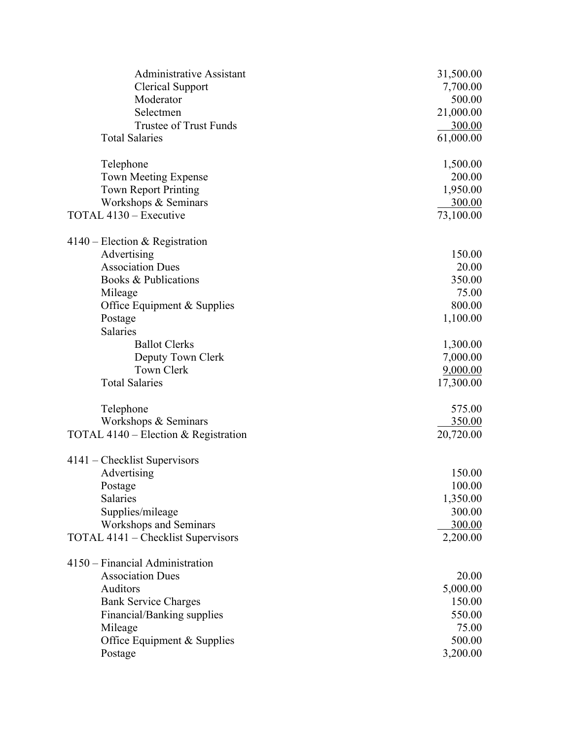| <b>Administrative Assistant</b>      | 31,500.00 |
|--------------------------------------|-----------|
| <b>Clerical Support</b>              | 7,700.00  |
| Moderator                            | 500.00    |
| Selectmen                            | 21,000.00 |
| <b>Trustee of Trust Funds</b>        | 300.00    |
| <b>Total Salaries</b>                | 61,000.00 |
| Telephone                            | 1,500.00  |
| <b>Town Meeting Expense</b>          | 200.00    |
| <b>Town Report Printing</b>          | 1,950.00  |
| Workshops & Seminars                 | 300.00    |
| TOTAL 4130 - Executive               | 73,100.00 |
| $4140$ – Election & Registration     |           |
| Advertising                          | 150.00    |
| <b>Association Dues</b>              | 20.00     |
| Books & Publications                 | 350.00    |
| Mileage                              | 75.00     |
| Office Equipment & Supplies          | 800.00    |
| Postage                              | 1,100.00  |
| <b>Salaries</b>                      |           |
| <b>Ballot Clerks</b>                 | 1,300.00  |
| Deputy Town Clerk                    | 7,000.00  |
| <b>Town Clerk</b>                    | 9,000.00  |
| <b>Total Salaries</b>                | 17,300.00 |
| Telephone                            | 575.00    |
| Workshops & Seminars                 | 350.00    |
| TOTAL 4140 – Election & Registration | 20,720.00 |
| 4141 – Checklist Supervisors         |           |
| Advertising                          | 150.00    |
| Postage                              | 100.00    |
| Salaries                             | 1,350.00  |
| Supplies/mileage                     | 300.00    |
| <b>Workshops and Seminars</b>        | 300.00    |
| TOTAL 4141 – Checklist Supervisors   | 2,200.00  |
| 4150 – Financial Administration      |           |
| <b>Association Dues</b>              | 20.00     |
| Auditors                             | 5,000.00  |
| <b>Bank Service Charges</b>          | 150.00    |
| Financial/Banking supplies           | 550.00    |
| Mileage                              | 75.00     |
| Office Equipment & Supplies          | 500.00    |
| Postage                              | 3,200.00  |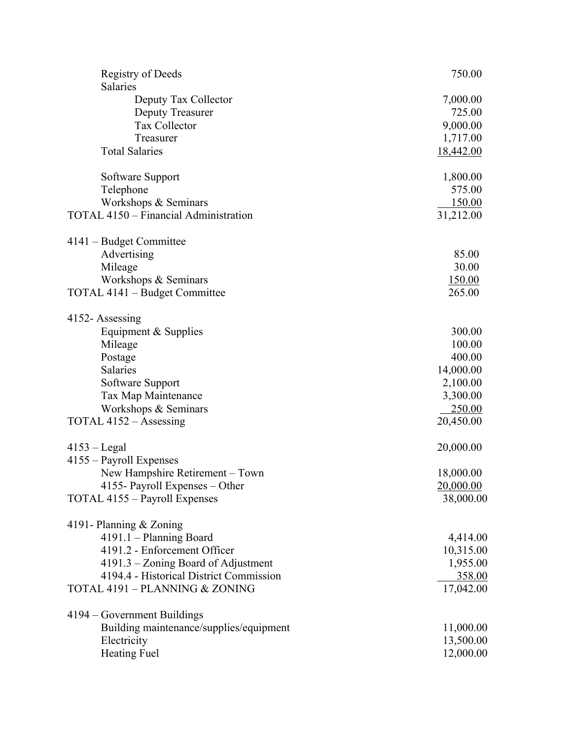| <b>Registry of Deeds</b><br><b>Salaries</b>                       | 750.00    |
|-------------------------------------------------------------------|-----------|
| Deputy Tax Collector                                              | 7,000.00  |
| <b>Deputy Treasurer</b>                                           | 725.00    |
| <b>Tax Collector</b>                                              | 9,000.00  |
| Treasurer                                                         | 1,717.00  |
| <b>Total Salaries</b>                                             | 18,442.00 |
|                                                                   |           |
| Software Support                                                  | 1,800.00  |
| Telephone                                                         | 575.00    |
| Workshops & Seminars                                              | 150.00    |
| <b>TOTAL 4150 - Financial Administration</b>                      | 31,212.00 |
| 4141 – Budget Committee                                           |           |
| Advertising                                                       | 85.00     |
| Mileage                                                           | 30.00     |
| Workshops & Seminars                                              | 150.00    |
| TOTAL 4141 – Budget Committee                                     | 265.00    |
| 4152-Assessing                                                    |           |
| Equipment & Supplies                                              | 300.00    |
| Mileage                                                           | 100.00    |
| Postage                                                           | 400.00    |
| Salaries                                                          | 14,000.00 |
| Software Support                                                  | 2,100.00  |
| Tax Map Maintenance                                               | 3,300.00  |
| Workshops & Seminars                                              | 250.00    |
| TOTAL 4152 – Assessing                                            | 20,450.00 |
|                                                                   |           |
| $4153 - Legal$                                                    | 20,000.00 |
| 4155 – Payroll Expenses                                           |           |
| New Hampshire Retirement - Town<br>4155- Payroll Expenses - Other | 18,000.00 |
|                                                                   | 20,000.00 |
| TOTAL 4155 - Payroll Expenses                                     | 38,000.00 |
| 4191- Planning & Zoning                                           |           |
| 4191.1 - Planning Board                                           | 4,414.00  |
| 4191.2 - Enforcement Officer                                      | 10,315.00 |
| 4191.3 – Zoning Board of Adjustment                               | 1,955.00  |
| 4194.4 - Historical District Commission                           | 358.00    |
| TOTAL 4191 - PLANNING & ZONING                                    | 17,042.00 |
| 4194 – Government Buildings                                       |           |
| Building maintenance/supplies/equipment                           | 11,000.00 |
| Electricity                                                       | 13,500.00 |
| <b>Heating Fuel</b>                                               | 12,000.00 |
|                                                                   |           |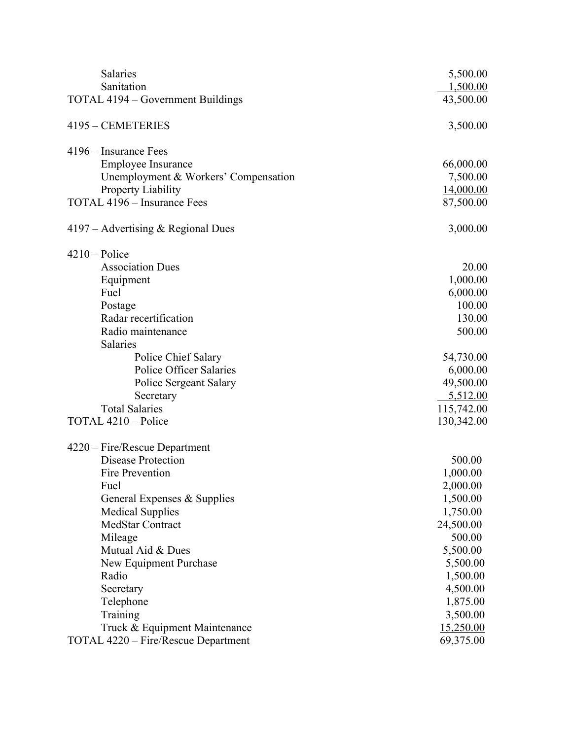| Salaries                             | 5,500.00   |
|--------------------------------------|------------|
| Sanitation                           | 1,500.00   |
| TOTAL 4194 – Government Buildings    | 43,500.00  |
| 4195 - CEMETERIES                    | 3,500.00   |
| 4196 – Insurance Fees                |            |
| <b>Employee Insurance</b>            | 66,000.00  |
| Unemployment & Workers' Compensation | 7,500.00   |
| Property Liability                   | 14,000.00  |
| TOTAL 4196 - Insurance Fees          | 87,500.00  |
| $4197 -$ Advertising & Regional Dues | 3,000.00   |
| $4210 -$ Police                      |            |
| <b>Association Dues</b>              | 20.00      |
| Equipment                            | 1,000.00   |
| Fuel                                 | 6,000.00   |
| Postage                              | 100.00     |
| Radar recertification                | 130.00     |
| Radio maintenance                    | 500.00     |
| Salaries                             |            |
| Police Chief Salary                  | 54,730.00  |
| <b>Police Officer Salaries</b>       | 6,000.00   |
| <b>Police Sergeant Salary</b>        | 49,500.00  |
| Secretary                            | 5,512.00   |
| <b>Total Salaries</b>                | 115,742.00 |
| TOTAL 4210 - Police                  | 130,342.00 |
| 4220 – Fire/Rescue Department        |            |
| <b>Disease Protection</b>            | 500.00     |
| Fire Prevention                      | 1,000.00   |
| Fuel                                 | 2,000.00   |
| General Expenses & Supplies          | 1,500.00   |
| <b>Medical Supplies</b>              | 1,750.00   |
| <b>MedStar Contract</b>              | 24,500.00  |
| Mileage                              | 500.00     |
| Mutual Aid & Dues                    | 5,500.00   |
| New Equipment Purchase               | 5,500.00   |
| Radio                                | 1,500.00   |
| Secretary                            | 4,500.00   |
| Telephone                            | 1,875.00   |
| Training                             | 3,500.00   |
| Truck & Equipment Maintenance        | 15,250.00  |
| TOTAL 4220 – Fire/Rescue Department  | 69,375.00  |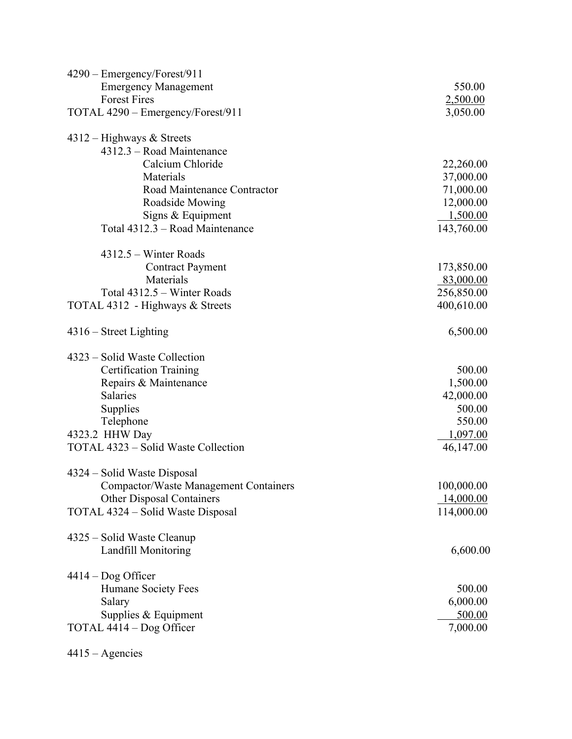| $4290 -$ Emergency/Forest/911                |            |
|----------------------------------------------|------------|
| <b>Emergency Management</b>                  | 550.00     |
| <b>Forest Fires</b>                          | 2,500.00   |
| TOTAL 4290 – Emergency/Forest/911            | 3,050.00   |
| $4312 -$ Highways & Streets                  |            |
| 4312.3 – Road Maintenance                    |            |
| Calcium Chloride                             | 22,260.00  |
| Materials                                    | 37,000.00  |
| Road Maintenance Contractor                  | 71,000.00  |
| Roadside Mowing                              | 12,000.00  |
| Signs & Equipment                            | 1,500.00   |
| Total 4312.3 - Road Maintenance              | 143,760.00 |
| $4312.5$ – Winter Roads                      |            |
| <b>Contract Payment</b>                      | 173,850.00 |
| Materials                                    | 83,000.00  |
| Total 4312.5 - Winter Roads                  | 256,850.00 |
| TOTAL 4312 - Highways & Streets              | 400,610.00 |
| $4316$ – Street Lighting                     | 6,500.00   |
| 4323 – Solid Waste Collection                |            |
| <b>Certification Training</b>                | 500.00     |
| Repairs & Maintenance                        | 1,500.00   |
| <b>Salaries</b>                              | 42,000.00  |
| Supplies                                     | 500.00     |
| Telephone                                    | 550.00     |
| 4323.2 HHW Day                               | 1,097.00   |
| TOTAL 4323 – Solid Waste Collection          | 46,147.00  |
| 4324 – Solid Waste Disposal                  |            |
| <b>Compactor/Waste Management Containers</b> | 100,000.00 |
| <b>Other Disposal Containers</b>             | 14,000.00  |
| TOTAL 4324 – Solid Waste Disposal            | 114,000.00 |
| 4325 – Solid Waste Cleanup                   |            |
| <b>Landfill Monitoring</b>                   | 6,600.00   |
| $4414 - \text{Dog Officer}$                  |            |
| Humane Society Fees                          | 500.00     |
| Salary                                       | 6,000.00   |
| Supplies & Equipment                         | 500.00     |
| TOTAL 4414 – Dog Officer                     | 7,000.00   |
|                                              |            |

4415 – Agencies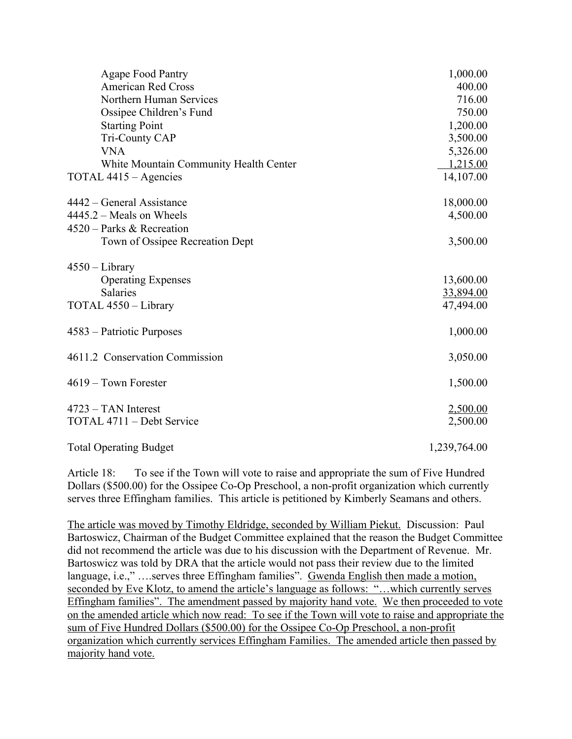| <b>Agape Food Pantry</b>               | 1,000.00     |
|----------------------------------------|--------------|
| <b>American Red Cross</b>              | 400.00       |
| Northern Human Services                | 716.00       |
| Ossipee Children's Fund                | 750.00       |
| <b>Starting Point</b>                  | 1,200.00     |
| Tri-County CAP                         | 3,500.00     |
| <b>VNA</b>                             | 5,326.00     |
| White Mountain Community Health Center | 1,215.00     |
| TOTAL 4415 – Agencies                  | 14,107.00    |
| 4442 – General Assistance              | 18,000.00    |
| $4445.2 - Meals$ on Wheels             | 4,500.00     |
| 4520 – Parks & Recreation              |              |
| Town of Ossipee Recreation Dept        | 3,500.00     |
| $4550 - Library$                       |              |
| <b>Operating Expenses</b>              | 13,600.00    |
| <b>Salaries</b>                        | 33,894.00    |
| TOTAL 4550 - Library                   | 47,494.00    |
| 4583 – Patriotic Purposes              | 1,000.00     |
| 4611.2 Conservation Commission         | 3,050.00     |
| $4619 - Town$ Forester                 | 1,500.00     |
| $4723 - TAN$ Interest                  | 2,500.00     |
| TOTAL 4711 - Debt Service              | 2,500.00     |
| <b>Total Operating Budget</b>          | 1,239,764.00 |

Article 18: To see if the Town will vote to raise and appropriate the sum of Five Hundred Dollars (\$500.00) for the Ossipee Co-Op Preschool, a non-profit organization which currently serves three Effingham families. This article is petitioned by Kimberly Seamans and others.

The article was moved by Timothy Eldridge, seconded by William Piekut. Discussion: Paul Bartoswicz, Chairman of the Budget Committee explained that the reason the Budget Committee did not recommend the article was due to his discussion with the Department of Revenue. Mr. Bartoswicz was told by DRA that the article would not pass their review due to the limited language, i.e.," ....serves three Effingham families". Gwenda English then made a motion, seconded by Eve Klotz, to amend the article's language as follows: "…which currently serves Effingham families". The amendment passed by majority hand vote. We then proceeded to vote on the amended article which now read: To see if the Town will vote to raise and appropriate the sum of Five Hundred Dollars (\$500.00) for the Ossipee Co-Op Preschool, a non-profit organization which currently services Effingham Families. The amended article then passed by majority hand vote.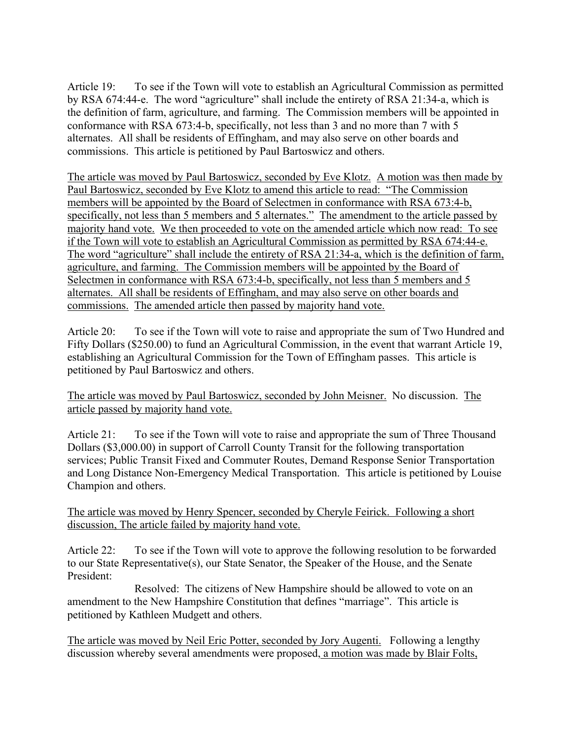Article 19: To see if the Town will vote to establish an Agricultural Commission as permitted by RSA 674:44-e. The word "agriculture" shall include the entirety of RSA 21:34-a, which is the definition of farm, agriculture, and farming. The Commission members will be appointed in conformance with RSA 673:4-b, specifically, not less than 3 and no more than 7 with 5 alternates. All shall be residents of Effingham, and may also serve on other boards and commissions. This article is petitioned by Paul Bartoswicz and others.

The article was moved by Paul Bartoswicz, seconded by Eve Klotz. A motion was then made by Paul Bartoswicz, seconded by Eve Klotz to amend this article to read: "The Commission members will be appointed by the Board of Selectmen in conformance with RSA 673:4-b, specifically, not less than 5 members and 5 alternates." The amendment to the article passed by majority hand vote. We then proceeded to vote on the amended article which now read: To see if the Town will vote to establish an Agricultural Commission as permitted by RSA 674:44-e. The word "agriculture" shall include the entirety of RSA 21:34-a, which is the definition of farm, agriculture, and farming. The Commission members will be appointed by the Board of Selectmen in conformance with RSA 673:4-b, specifically, not less than 5 members and 5 alternates. All shall be residents of Effingham, and may also serve on other boards and commissions. The amended article then passed by majority hand vote.

Article 20: To see if the Town will vote to raise and appropriate the sum of Two Hundred and Fifty Dollars (\$250.00) to fund an Agricultural Commission, in the event that warrant Article 19, establishing an Agricultural Commission for the Town of Effingham passes. This article is petitioned by Paul Bartoswicz and others.

The article was moved by Paul Bartoswicz, seconded by John Meisner. No discussion. The article passed by majority hand vote.

Article 21: To see if the Town will vote to raise and appropriate the sum of Three Thousand Dollars (\$3,000.00) in support of Carroll County Transit for the following transportation services; Public Transit Fixed and Commuter Routes, Demand Response Senior Transportation and Long Distance Non-Emergency Medical Transportation. This article is petitioned by Louise Champion and others.

The article was moved by Henry Spencer, seconded by Cheryle Feirick. Following a short discussion, The article failed by majority hand vote.

Article 22: To see if the Town will vote to approve the following resolution to be forwarded to our State Representative(s), our State Senator, the Speaker of the House, and the Senate President:

Resolved: The citizens of New Hampshire should be allowed to vote on an amendment to the New Hampshire Constitution that defines "marriage". This article is petitioned by Kathleen Mudgett and others.

The article was moved by Neil Eric Potter, seconded by Jory Augenti. Following a lengthy discussion whereby several amendments were proposed, a motion was made by Blair Folts,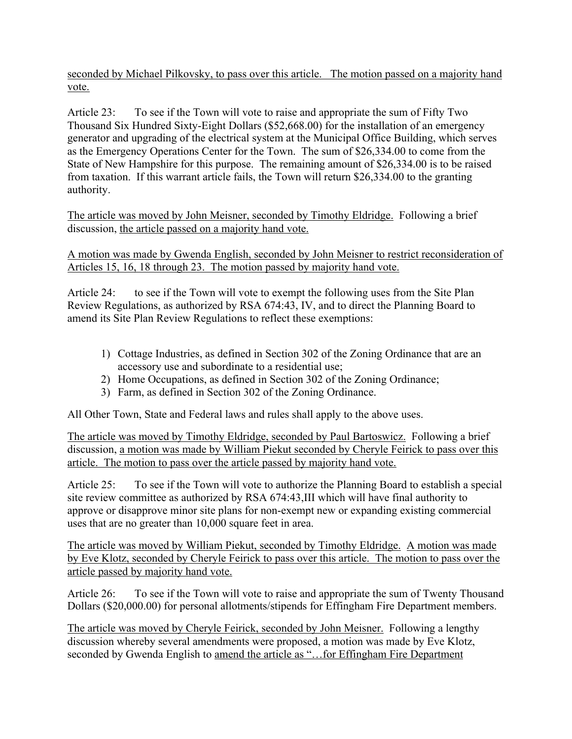seconded by Michael Pilkovsky, to pass over this article. The motion passed on a majority hand vote.

Article 23: To see if the Town will vote to raise and appropriate the sum of Fifty Two Thousand Six Hundred Sixty-Eight Dollars (\$52,668.00) for the installation of an emergency generator and upgrading of the electrical system at the Municipal Office Building, which serves as the Emergency Operations Center for the Town. The sum of \$26,334.00 to come from the State of New Hampshire for this purpose. The remaining amount of \$26,334.00 is to be raised from taxation. If this warrant article fails, the Town will return \$26,334.00 to the granting authority.

The article was moved by John Meisner, seconded by Timothy Eldridge. Following a brief discussion, the article passed on a majority hand vote.

A motion was made by Gwenda English, seconded by John Meisner to restrict reconsideration of Articles 15, 16, 18 through 23. The motion passed by majority hand vote.

Article 24: to see if the Town will vote to exempt the following uses from the Site Plan Review Regulations, as authorized by RSA 674:43, IV, and to direct the Planning Board to amend its Site Plan Review Regulations to reflect these exemptions:

- 1) Cottage Industries, as defined in Section 302 of the Zoning Ordinance that are an accessory use and subordinate to a residential use;
- 2) Home Occupations, as defined in Section 302 of the Zoning Ordinance;
- 3) Farm, as defined in Section 302 of the Zoning Ordinance.

All Other Town, State and Federal laws and rules shall apply to the above uses.

The article was moved by Timothy Eldridge, seconded by Paul Bartoswicz. Following a brief discussion, a motion was made by William Piekut seconded by Cheryle Feirick to pass over this article. The motion to pass over the article passed by majority hand vote.

Article 25: To see if the Town will vote to authorize the Planning Board to establish a special site review committee as authorized by RSA 674:43,III which will have final authority to approve or disapprove minor site plans for non-exempt new or expanding existing commercial uses that are no greater than 10,000 square feet in area.

The article was moved by William Piekut, seconded by Timothy Eldridge. A motion was made by Eve Klotz, seconded by Cheryle Feirick to pass over this article. The motion to pass over the article passed by majority hand vote.

Article 26: To see if the Town will vote to raise and appropriate the sum of Twenty Thousand Dollars (\$20,000.00) for personal allotments/stipends for Effingham Fire Department members.

The article was moved by Cheryle Feirick, seconded by John Meisner. Following a lengthy discussion whereby several amendments were proposed, a motion was made by Eve Klotz, seconded by Gwenda English to <u>amend the article as "...for Effingham Fire Department</u>